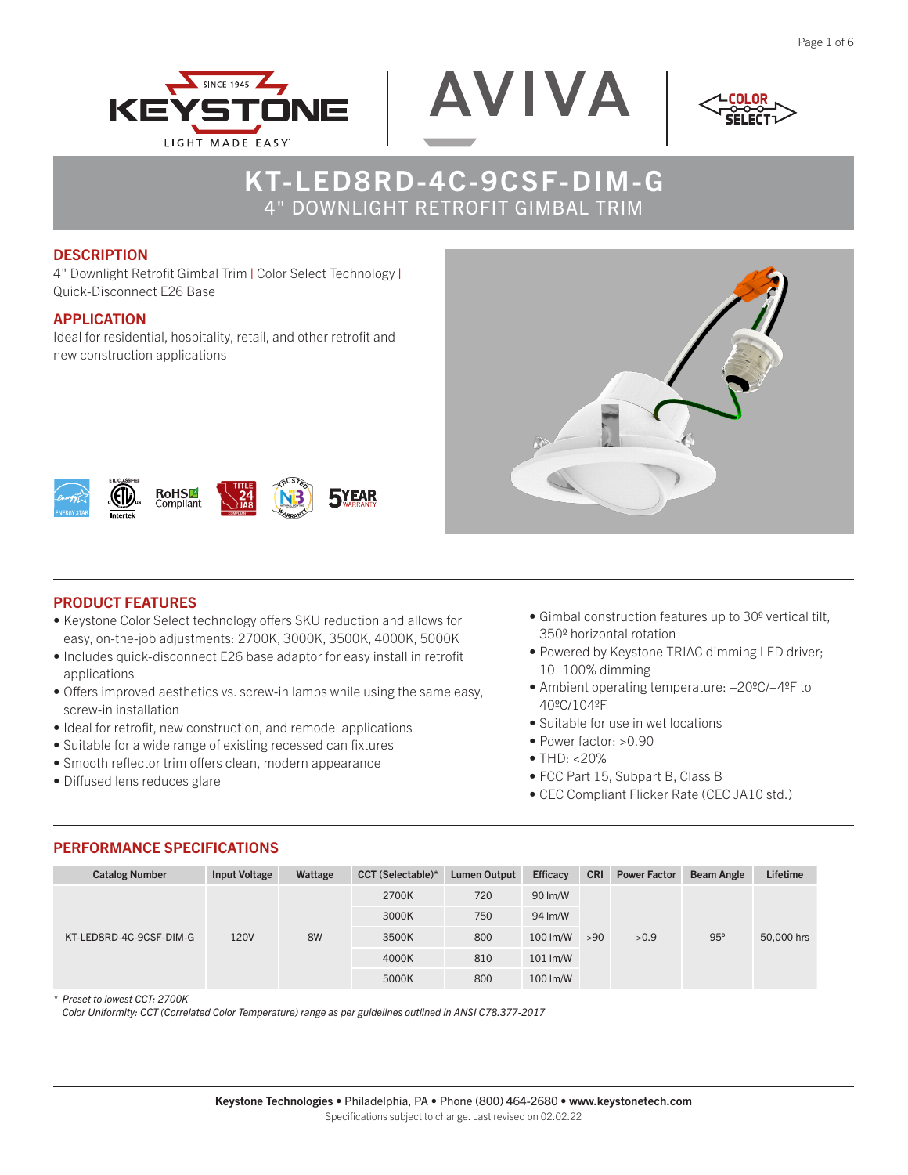



$$
<^{\text{LCOLOR}}_{\text{SELECT}}>
$$

#### **DESCRIPTION**

4" Downlight Retrofit Gimbal Trim | Color Select Technology | Quick-Disconnect E26 Base

### APPLICATION

Ideal for residential, hospitality, retail, and other retrofit and new construction applications



## PRODUCT FEATURES

RoHS

• Keystone Color Select technology offers SKU reduction and allows for easy, on-the-job adjustments: 2700K, 3000K, 3500K, 4000K, 5000K

**TYEAR** 

- Includes quick-disconnect E26 base adaptor for easy install in retrofit applications
- Offers improved aesthetics vs. screw-in lamps while using the same easy, screw-in installation
- Ideal for retrofit, new construction, and remodel applications
- Suitable for a wide range of existing recessed can fixtures
- Smooth reflector trim offers clean, modern appearance
- Diffused lens reduces glare
- Gimbal construction features up to 30º vertical tilt, 350º horizontal rotation
- Powered by Keystone TRIAC dimming LED driver; 10−100% dimming
- Ambient operating temperature: −20ºC/−4ºF to 40ºC/104ºF
- Suitable for use in wet locations
- Power factor: >0.90
- $•$  THD:  $< 20\%$
- FCC Part 15, Subpart B, Class B
- CEC Compliant Flicker Rate (CEC JA10 std.)

| <b>Catalog Number</b>   | <b>Input Voltage</b> | Wattage | <b>CCT</b> (Selectable)* | Lumen Output | <b>Efficacy</b> | <b>CRI</b> | <b>Power Factor</b> | <b>Beam Angle</b> | Lifetime   |
|-------------------------|----------------------|---------|--------------------------|--------------|-----------------|------------|---------------------|-------------------|------------|
| KT-LED8RD-4C-9CSF-DIM-G | 120V                 | 8W      | 2700K                    | 720          | 90 lm/W         | >90        | >0.9                | 95°               | 50,000 hrs |
|                         |                      |         | 3000K                    | 750          | 94 Im/W         |            |                     |                   |            |
|                         |                      |         | 3500K                    | 800          | 100 lm/W        |            |                     |                   |            |
|                         |                      |         | 4000K                    | 810          | $101 \,$ lm/W   |            |                     |                   |            |
|                         |                      |         | 5000K                    | 800          | 100 lm/W        |            |                     |                   |            |

PERFORMANCE SPECIFICATIONS

*\* Preset to lowest CCT: 2700K*

 *Color Uniformity: CCT (Correlated Color Temperature) range as per guidelines outlined in ANSI C78.377-2017*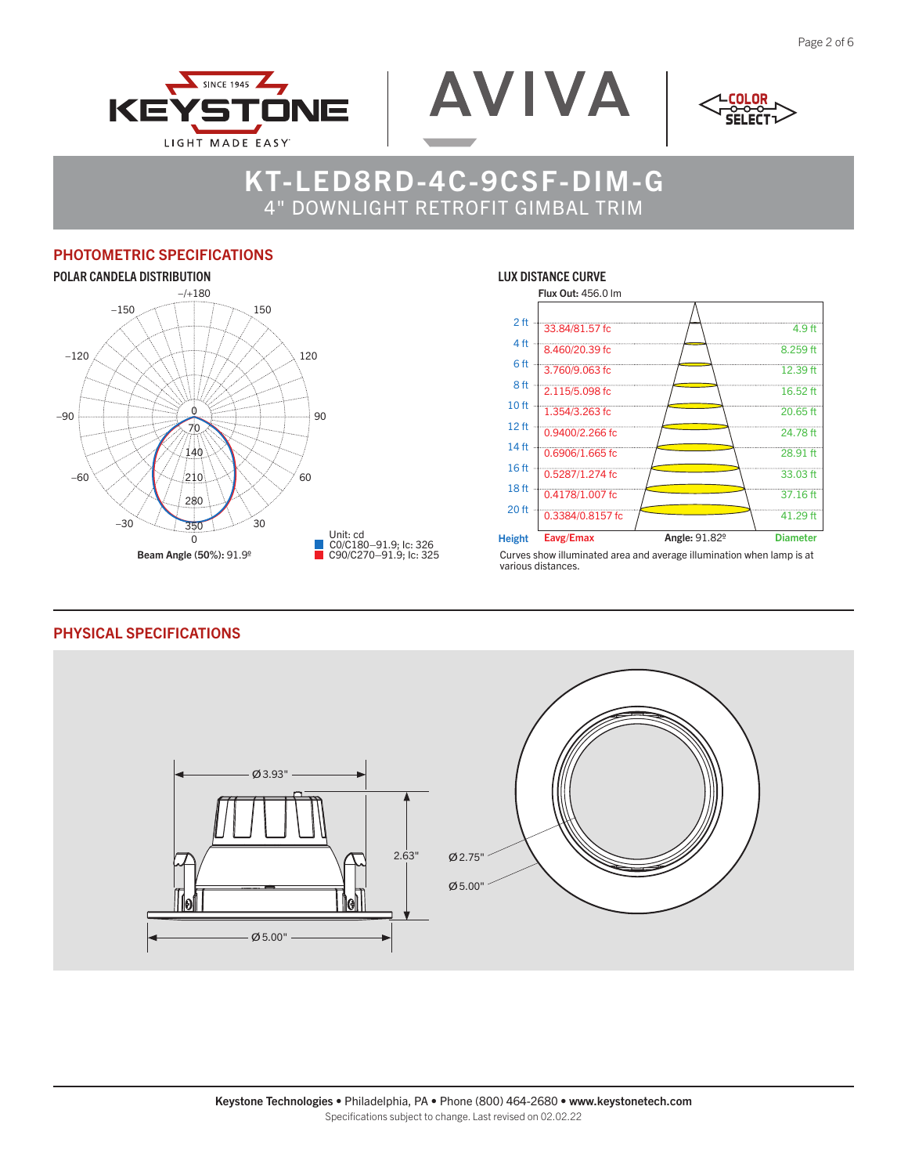



$$
<^{\text{LCOLOR}}_{\text{SELECT}}>
$$

## PHOTOMETRIC SPECIFICATIONS



#### LUX DISTANCE CURVE



Curves show illuminated area and average illumination when lamp is at various distances.

#### PHYSICAL SPECIFICATIONS

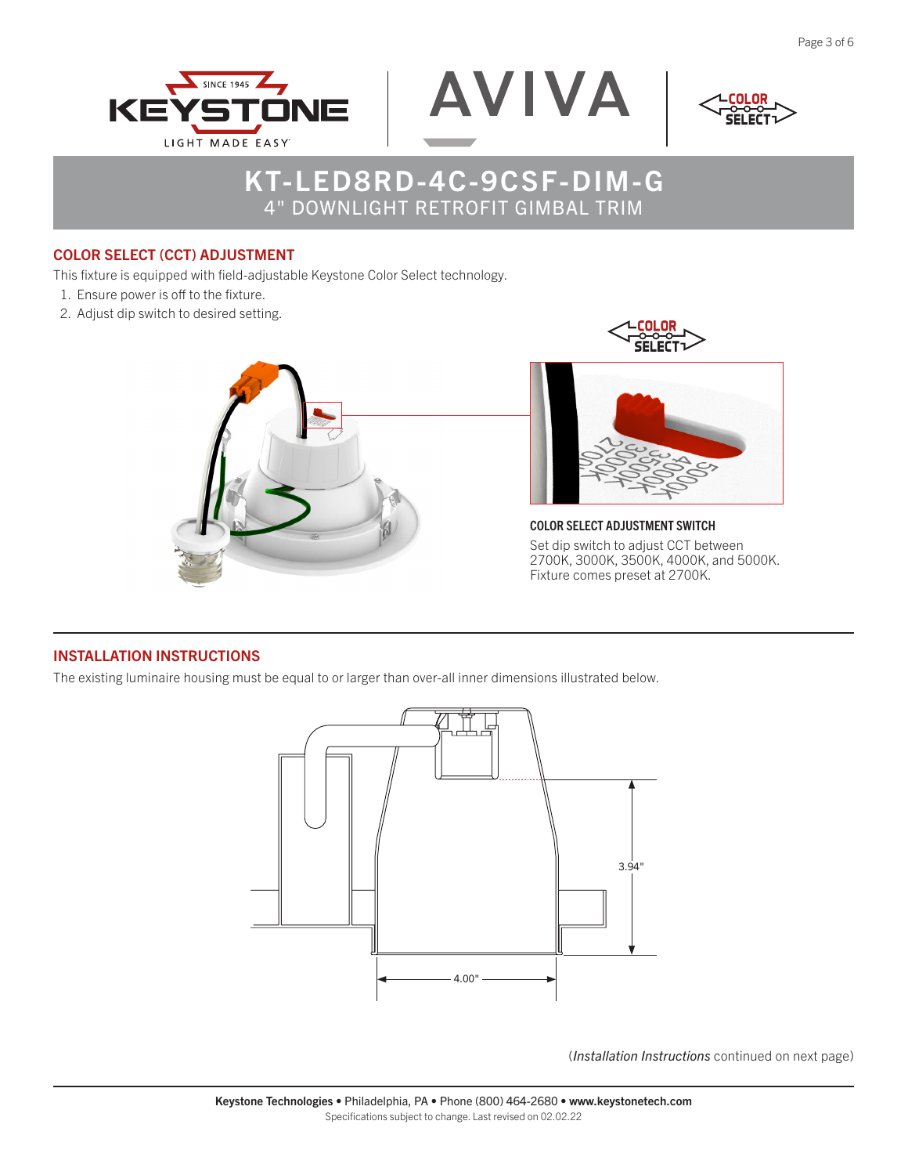



$$
<^{\text{LCOLOR}}_{\text{SELECT}}
$$

### COLOR SELECT (CCT) ADJUSTMENT

This fixture is equipped with field-adjustable Keystone Color Select technology.

- 1. Ensure power is off to the fixture.
- 2. Adjust dip switch to desired setting.





COLOR SELECT ADJUSTMENT SWITCH Set dip switch to adjust CCT between 2700K, 3000K, 3500K, 4000K, and 5000K. Fixture comes preset at 2700K.

## INSTALLATION INSTRUCTIONS

The existing luminaire housing must be equal to or larger than over-all inner dimensions illustrated below.



(*Installation Instructions* continued on next page)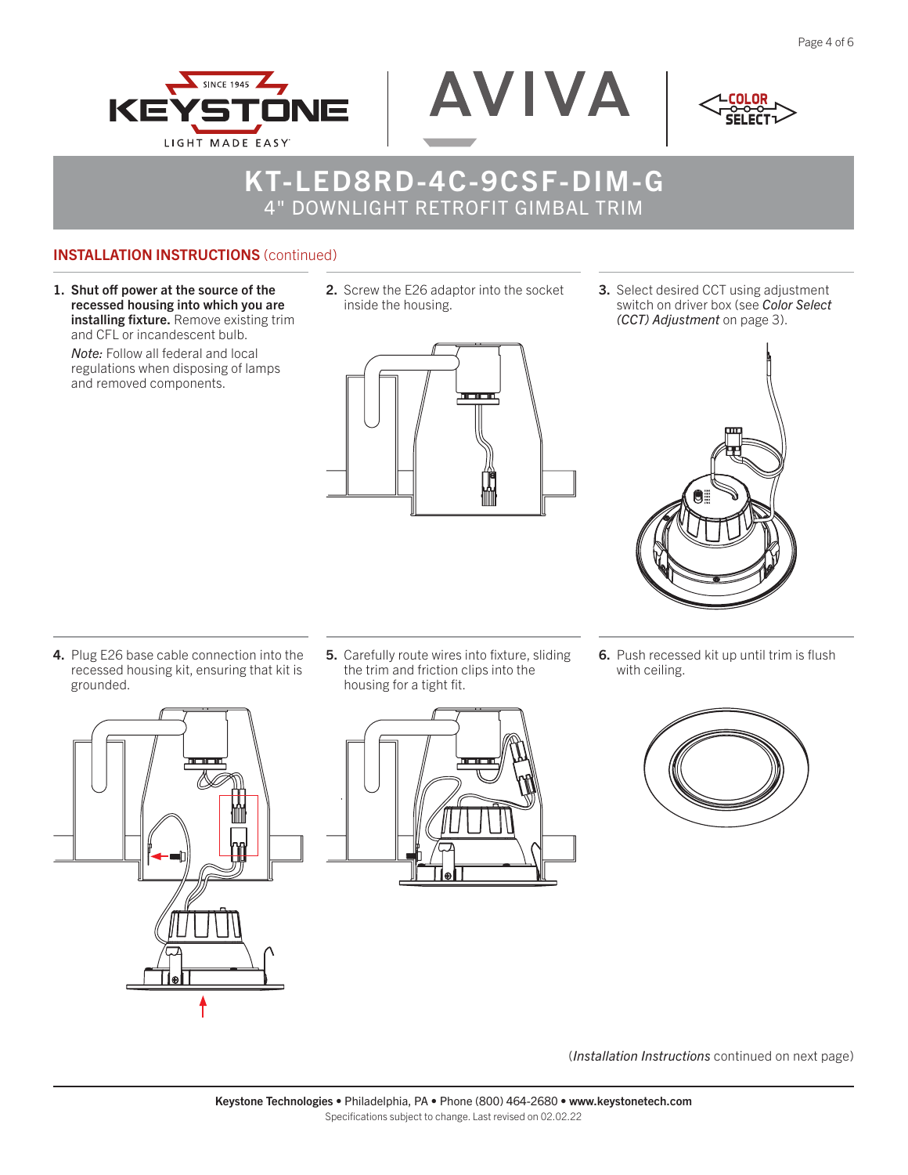

AVIVA

### INSTALLATION INSTRUCTIONS (continued)

SINCE 1945

**ILGHT MADE FASY** 

INIE

1. Shut off power at the source of the recessed housing into which you are installing fixture. Remove existing trim and CFL or incandescent bulb.

KE

*Note:* Follow all federal and local regulations when disposing of lamps and removed components.

2. Screw the E26 adaptor into the socket inside the housing.



3. Select desired CCT using adjustment switch on driver box (see *Color Select (CCT) Adjustment* on page 3).



**6.** Push recessed kit up until trim is flush with ceiling.





5. Carefully route wires into fixture, sliding the trim and friction clips into the housing for a tight fit.





(*Installation Instructions* continued on next page)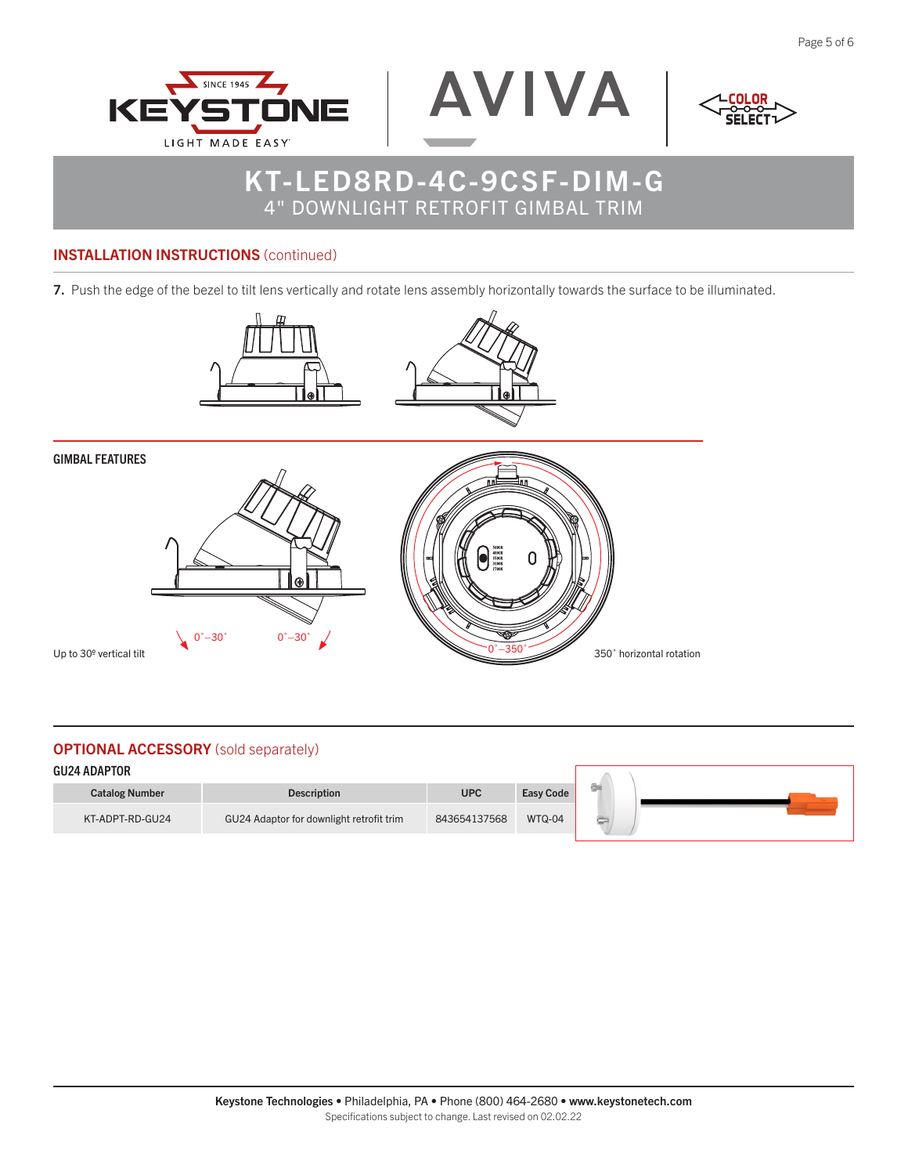



$$
<^{\text{L}\text{COLOR}}_{\text{SELECT}}>
$$

### INSTALLATION INSTRUCTIONS (continued)

7. Push the edge of the bezel to tilt lens vertically and rotate lens assembly horizontally towards the surface to be illuminated.



GIMBAL FEATURES





## **OPTIONAL ACCESSORY** (sold separately)

| <b>GU24 ADAPTOR</b>   |                                          |              |                  |    |  |  |  |
|-----------------------|------------------------------------------|--------------|------------------|----|--|--|--|
| <b>Catalog Number</b> | <b>Description</b>                       | <b>UPC</b>   | <b>Easy Code</b> | G. |  |  |  |
| KT-ADPT-RD-GU24       | GU24 Adaptor for downlight retrofit trim | 843654137568 | WTQ-04           |    |  |  |  |